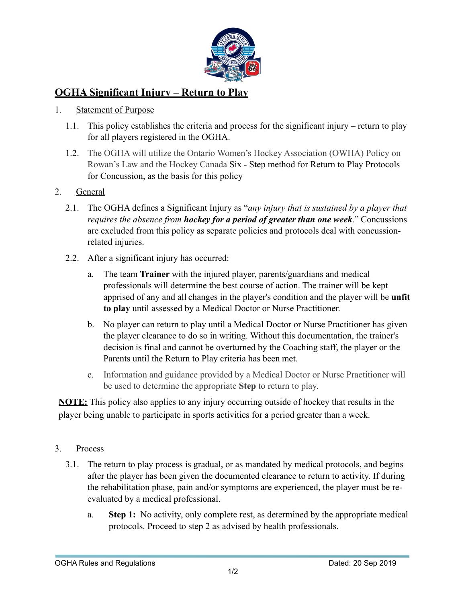

## **OGHA Significant Injury – Return to Play**

## 1. Statement of Purpose

- 1.1. This policy establishes the criteria and process for the significant injury return to play for all players registered in the OGHA.
- 1.2. The OGHA will utilize the Ontario Women's Hockey Association (OWHA) Policy on Rowan's Law and the Hockey Canada Six - Step method for Return to Play Protocols for Concussion, as the basis for this policy

## 2. General

- 2.1. The OGHA defines a Significant Injury as "*any injury that is sustained by a player that requires the absence from hockey for a period of greater than one week*." Concussions are excluded from this policy as separate policies and protocols deal with concussionrelated injuries.
- 2.2. After a significant injury has occurred:
	- a. The team **Trainer** with the injured player, parents/guardians and medical professionals will determine the best course of action. The trainer will be kept apprised of any and all changes in the player's condition and the player will be **unfit to play** until assessed by a Medical Doctor or Nurse Practitioner.
	- b. No player can return to play until a Medical Doctor or Nurse Practitioner has given the player clearance to do so in writing. Without this documentation, the trainer's decision is final and cannot be overturned by the Coaching staff, the player or the Parents until the Return to Play criteria has been met.
	- c. Information and guidance provided by a Medical Doctor or Nurse Practitioner will be used to determine the appropriate **Step** to return to play.

**NOTE:** This policy also applies to any injury occurring outside of hockey that results in the player being unable to participate in sports activities for a period greater than a week.

- 3. Process
	- 3.1. The return to play process is gradual, or as mandated by medical protocols, and begins after the player has been given the documented clearance to return to activity. If during the rehabilitation phase, pain and/or symptoms are experienced, the player must be reevaluated by a medical professional.
		- a. **Step 1:** No activity, only complete rest, as determined by the appropriate medical protocols. Proceed to step 2 as advised by health professionals.